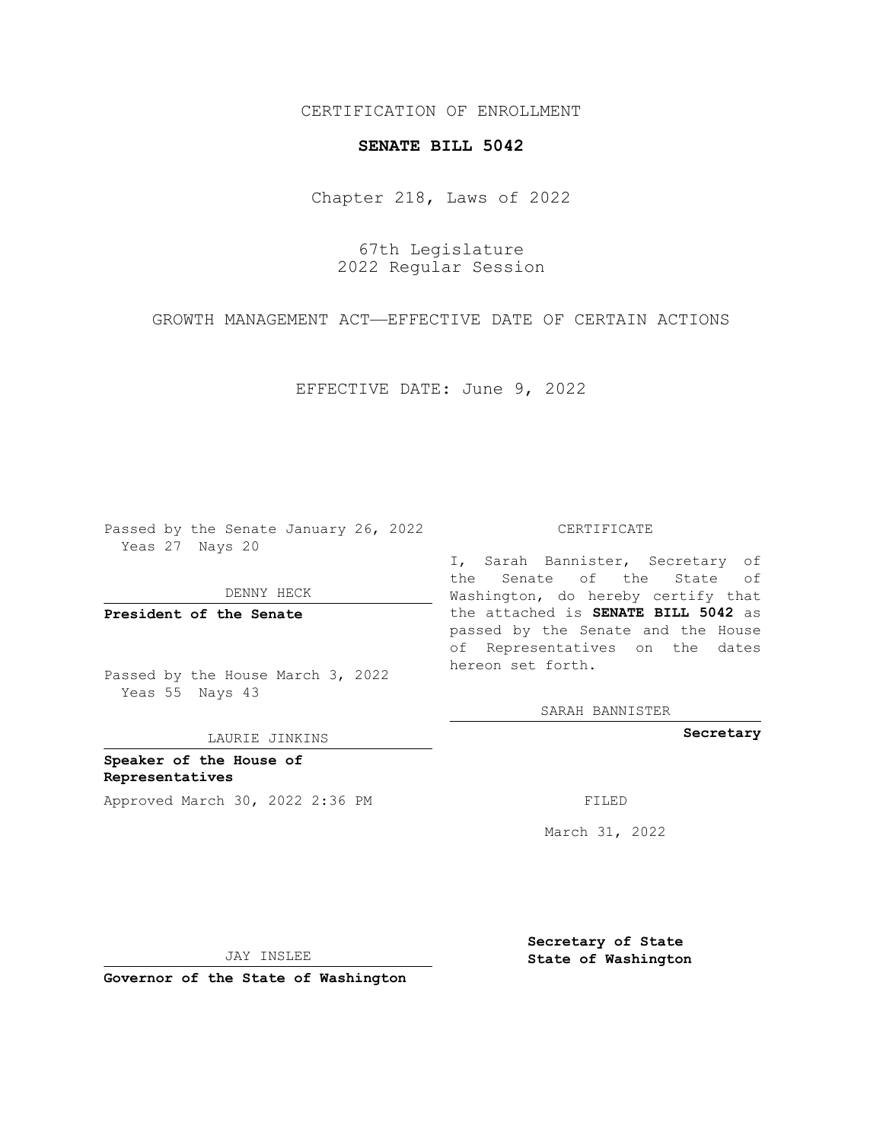CERTIFICATION OF ENROLLMENT

## **SENATE BILL 5042**

Chapter 218, Laws of 2022

67th Legislature 2022 Regular Session

GROWTH MANAGEMENT ACT—EFFECTIVE DATE OF CERTAIN ACTIONS

EFFECTIVE DATE: June 9, 2022

Passed by the Senate January 26, 2022 Yeas 27 Nays 20

DENNY HECK

**President of the Senate**

Passed by the House March 3, 2022 Yeas 55 Nays 43

LAURIE JINKINS

**Speaker of the House of Representatives** Approved March 30, 2022 2:36 PM FILED

CERTIFICATE

I, Sarah Bannister, Secretary of the Senate of the State of Washington, do hereby certify that the attached is **SENATE BILL 5042** as passed by the Senate and the House of Representatives on the dates hereon set forth.

SARAH BANNISTER

**Secretary**

March 31, 2022

JAY INSLEE

**Governor of the State of Washington**

**Secretary of State State of Washington**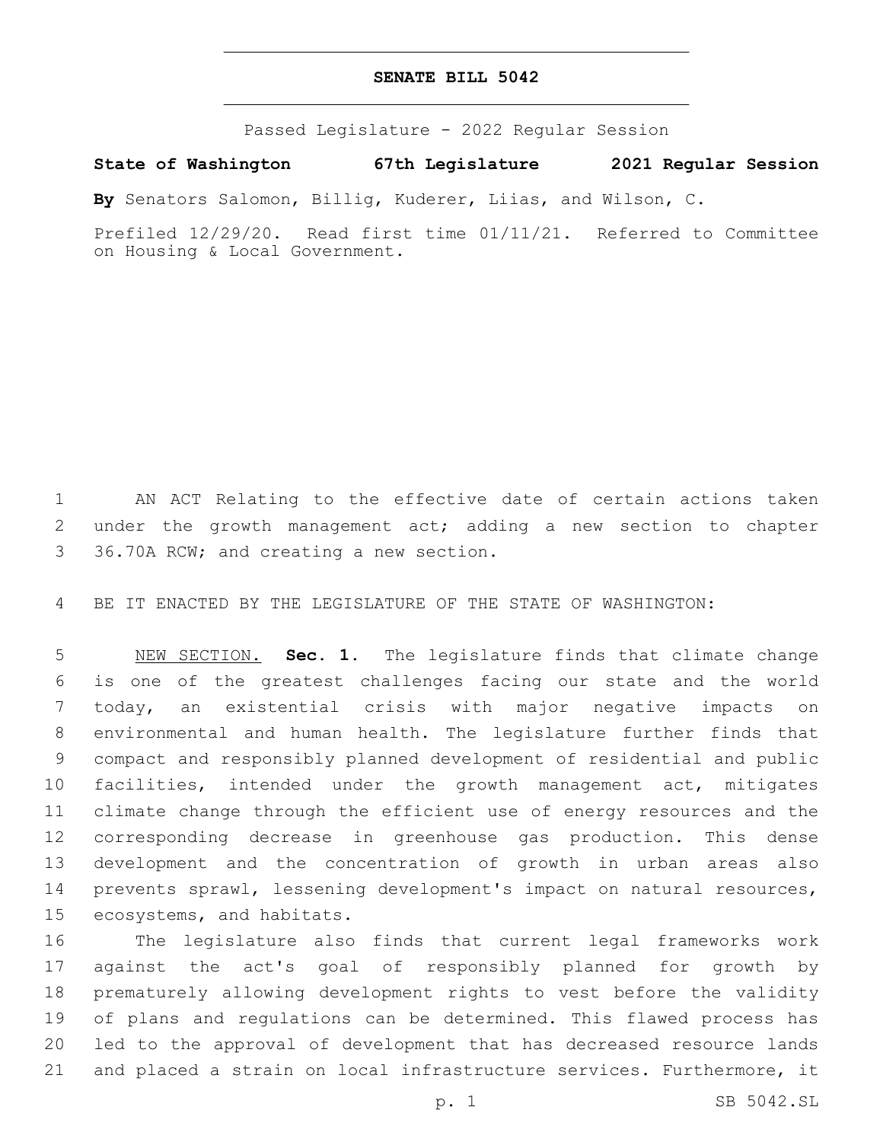## **SENATE BILL 5042**

Passed Legislature - 2022 Regular Session

**State of Washington 67th Legislature 2021 Regular Session**

**By** Senators Salomon, Billig, Kuderer, Liias, and Wilson, C.

Prefiled 12/29/20. Read first time 01/11/21. Referred to Committee on Housing & Local Government.

 AN ACT Relating to the effective date of certain actions taken under the growth management act; adding a new section to chapter 3 36.70A RCW; and creating a new section.

BE IT ENACTED BY THE LEGISLATURE OF THE STATE OF WASHINGTON:

 NEW SECTION. **Sec. 1.** The legislature finds that climate change is one of the greatest challenges facing our state and the world today, an existential crisis with major negative impacts on environmental and human health. The legislature further finds that compact and responsibly planned development of residential and public facilities, intended under the growth management act, mitigates climate change through the efficient use of energy resources and the corresponding decrease in greenhouse gas production. This dense development and the concentration of growth in urban areas also prevents sprawl, lessening development's impact on natural resources, ecosystems, and habitats.

 The legislature also finds that current legal frameworks work against the act's goal of responsibly planned for growth by prematurely allowing development rights to vest before the validity of plans and regulations can be determined. This flawed process has led to the approval of development that has decreased resource lands and placed a strain on local infrastructure services. Furthermore, it